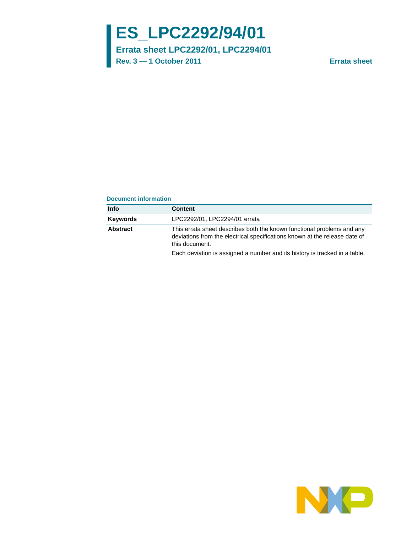# **ES\_LPC2292/94/01**

**Errata sheet LPC2292/01, LPC2294/01**

**Rev. 3 — 1 October 2011 Errata sheet**

#### **Document information**

| Info     | <b>Content</b>                                                                                                                                                         |
|----------|------------------------------------------------------------------------------------------------------------------------------------------------------------------------|
| Kevwords | LPC2292/01, LPC2294/01 errata                                                                                                                                          |
| Abstract | This errata sheet describes both the known functional problems and any<br>deviations from the electrical specifications known at the release date of<br>this document. |
|          | Each deviation is assigned a number and its history is tracked in a table.                                                                                             |

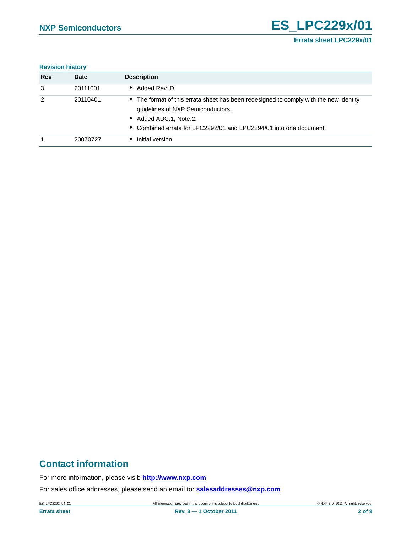#### **Revision history**

| <b>Rev</b> | <b>Date</b> | <b>Description</b>                                                                                                                                                                                                         |
|------------|-------------|----------------------------------------------------------------------------------------------------------------------------------------------------------------------------------------------------------------------------|
| 3          | 20111001    | • Added Rev. D.                                                                                                                                                                                                            |
| 2          | 20110401    | • The format of this errata sheet has been redesigned to comply with the new identity<br>guidelines of NXP Semiconductors.<br>• Added ADC.1, Note.2.<br>• Combined errata for LPC2292/01 and LPC2294/01 into one document. |
|            | 20070727    | Initial version.                                                                                                                                                                                                           |

# **Contact information**

For more information, please visit: **http://www.nxp.com**

For sales office addresses, please send an email to: **salesaddresses@nxp.com**

ES\_LPC2292\_94\_01 All information provided in this document is subject to legal disclaimers. © NXP B.V. 2011. All rights reserved.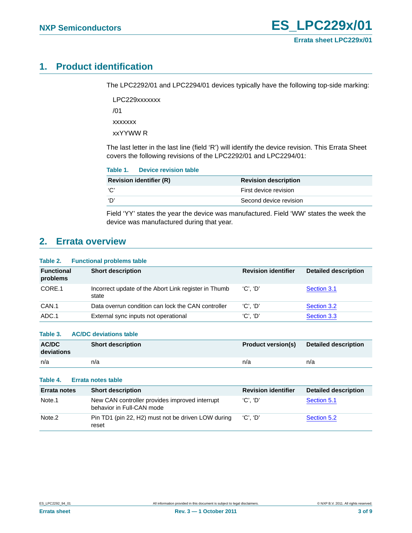# <span id="page-2-0"></span>**1. Product identification**

The LPC2292/01 and LPC2294/01 devices typically have the following top-side marking:

LPC229xxxxxxx /01 xxxxxxx xxYYWW R

The last letter in the last line (field 'R') will identify the device revision. This Errata Sheet covers the following revisions of the LPC2292/01 and LPC2294/01:

|                                | Table 1. Device revision table |                             |
|--------------------------------|--------------------------------|-----------------------------|
| <b>Revision identifier (R)</b> |                                | <b>Revision description</b> |
| 'C'                            |                                | First device revision       |
| 'D'                            |                                | Second device revision      |

Field 'YY' states the year the device was manufactured. Field 'WW' states the week the device was manufactured during that year.

# <span id="page-2-1"></span>**2. Errata overview**

#### **Table 2. Functional problems table**

| <b>Functional</b><br>problems | <b>Short description</b>                                      | <b>Revision identifier</b> | <b>Detailed description</b> |
|-------------------------------|---------------------------------------------------------------|----------------------------|-----------------------------|
| CORE.1                        | Incorrect update of the Abort Link register in Thumb<br>state | $'C'.$ $'D'$               | Section 3.1                 |
| CAN.1                         | Data overrun condition can lock the CAN controller            | $'C'.$ $'D'$               | Section 3.2                 |
| ADC.1                         | External sync inputs not operational                          | $'C'.$ $'D'$               | Section 3.3                 |

#### **Table 3. AC/DC deviations table**

| <b>AC/DC</b><br>deviations | <b>Short description</b> | <b>Product version(s)</b> | <b>Detailed description</b> |
|----------------------------|--------------------------|---------------------------|-----------------------------|
| n/a                        | n/a                      | n/a                       | n/a                         |

#### **Table 4. Errata notes table**

| <b>Errata notes</b> | <b>Short description</b>                                                    | <b>Revision identifier</b> | <b>Detailed description</b> |
|---------------------|-----------------------------------------------------------------------------|----------------------------|-----------------------------|
| Note.1              | New CAN controller provides improved interrupt<br>behavior in Full-CAN mode | 'C'. 'D'                   | Section 5.1                 |
| Note <sub>.2</sub>  | Pin TD1 (pin 22, H2) must not be driven LOW during<br>reset                 | 'C'. 'D'                   | Section 5.2                 |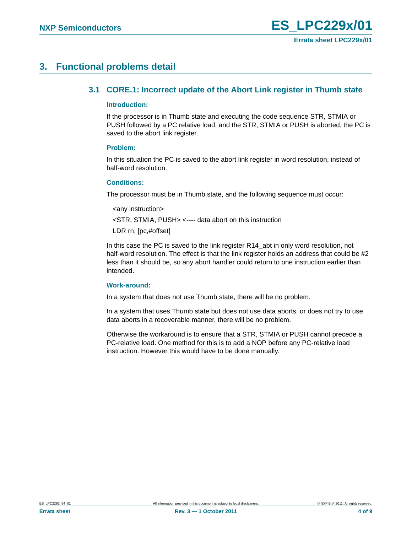# <span id="page-3-1"></span><span id="page-3-0"></span>**3. Functional problems detail**

### **3.1 CORE.1: Incorrect update of the Abort Link register in Thumb state**

#### <span id="page-3-2"></span>**Introduction:**

If the processor is in Thumb state and executing the code sequence STR, STMIA or PUSH followed by a PC relative load, and the STR, STMIA or PUSH is aborted, the PC is saved to the abort link register.

#### <span id="page-3-3"></span>**Problem:**

In this situation the PC is saved to the abort link register in word resolution, instead of half-word resolution.

#### <span id="page-3-4"></span>**Conditions:**

The processor must be in Thumb state, and the following sequence must occur:

```
<any instruction>
```
<STR, STMIA, PUSH> <---- data abort on this instruction

LDR rn, [pc,#offset]

In this case the PC is saved to the link register R14\_abt in only word resolution, not half-word resolution. The effect is that the link register holds an address that could be #2 less than it should be, so any abort handler could return to one instruction earlier than intended.

#### <span id="page-3-5"></span>**Work-around:**

In a system that does not use Thumb state, there will be no problem.

In a system that uses Thumb state but does not use data aborts, or does not try to use data aborts in a recoverable manner, there will be no problem.

Otherwise the workaround is to ensure that a STR, STMIA or PUSH cannot precede a PC-relative load. One method for this is to add a NOP before any PC-relative load instruction. However this would have to be done manually.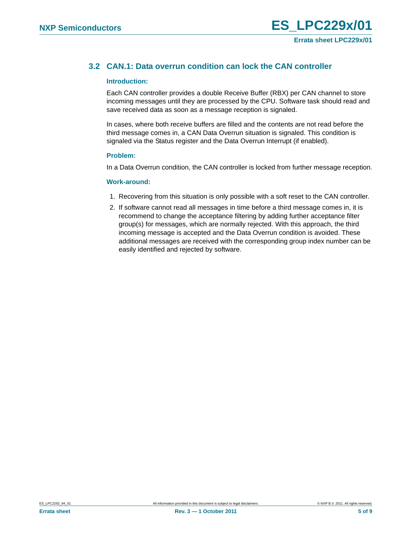### <span id="page-4-0"></span>**3.2 CAN.1: Data overrun condition can lock the CAN controller**

#### <span id="page-4-1"></span>**Introduction:**

Each CAN controller provides a double Receive Buffer (RBX) per CAN channel to store incoming messages until they are processed by the CPU. Software task should read and save received data as soon as a message reception is signaled.

In cases, where both receive buffers are filled and the contents are not read before the third message comes in, a CAN Data Overrun situation is signaled. This condition is signaled via the Status register and the Data Overrun Interrupt (if enabled).

#### <span id="page-4-2"></span>**Problem:**

In a Data Overrun condition, the CAN controller is locked from further message reception.

#### <span id="page-4-3"></span>**Work-around:**

- 1. Recovering from this situation is only possible with a soft reset to the CAN controller.
- 2. If software cannot read all messages in time before a third message comes in, it is recommend to change the acceptance filtering by adding further acceptance filter group(s) for messages, which are normally rejected. With this approach, the third incoming message is accepted and the Data Overrun condition is avoided. These additional messages are received with the corresponding group index number can be easily identified and rejected by software.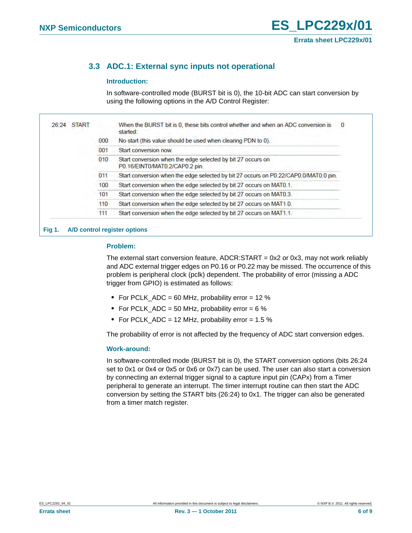# <span id="page-5-0"></span>**3.3 ADC.1: External sync inputs not operational**

#### <span id="page-5-1"></span>**Introduction:**

In software-controlled mode (BURST bit is 0), the 10-bit ADC can start conversion by using the following options in the A/D Control Register:

| <b>START</b><br>26:24 |     | When the BURST bit is 0, these bits control whether and when an ADC conversion is<br>started: |
|-----------------------|-----|-----------------------------------------------------------------------------------------------|
|                       | 000 | No start (this value should be used when clearing PDN to 0).                                  |
|                       | 001 | Start conversion now.                                                                         |
|                       | 010 | Start conversion when the edge selected by bit 27 occurs on<br>P0.16/EINT0/MAT0.2/CAP0.2 pin. |
|                       | 011 | Start conversion when the edge selected by bit 27 occurs on P0.22/CAP0.0/MAT0.0 pin.          |
|                       | 100 | Start conversion when the edge selected by bit 27 occurs on MAT0.1.                           |
|                       | 101 | Start conversion when the edge selected by bit 27 occurs on MAT0.3.                           |
|                       | 110 | Start conversion when the edge selected by bit 27 occurs on MAT1.0.                           |
|                       | 111 | Start conversion when the edge selected by bit 27 occurs on MAT1.1.                           |

#### **Fig 1. A/D control register options**

#### <span id="page-5-2"></span>**Problem:**

The external start conversion feature,  $ADCR:STAT = 0x2$  or 0x3, may not work reliably and ADC external trigger edges on P0.16 or P0.22 may be missed. The occurrence of this problem is peripheral clock (pclk) dependent. The probability of error (missing a ADC trigger from GPIO) is estimated as follows:

- **•** For PCLK\_ADC = 60 MHz, probability error = 12 %
- **•** For PCLK\_ADC = 50 MHz, probability error = 6 %
- **•** For PCLK\_ADC = 12 MHz, probability error = 1.5 %

The probability of error is not affected by the frequency of ADC start conversion edges.

#### <span id="page-5-3"></span>**Work-around:**

In software-controlled mode (BURST bit is 0), the START conversion options (bits 26:24 set to 0x1 or 0x4 or 0x5 or 0x6 or 0x7) can be used. The user can also start a conversion by connecting an external trigger signal to a capture input pin (CAPx) from a Timer peripheral to generate an interrupt. The timer interrupt routine can then start the ADC conversion by setting the START bits (26:24) to 0x1. The trigger can also be generated from a timer match register.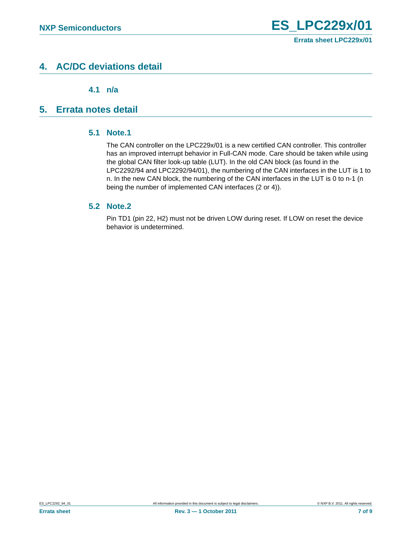# <span id="page-6-2"></span>**4. AC/DC deviations detail**

**4.1 n/a**

# <span id="page-6-4"></span><span id="page-6-3"></span><span id="page-6-1"></span>**5. Errata notes detail**

### **5.1 Note.1**

The CAN controller on the LPC229x/01 is a new certified CAN controller. This controller has an improved interrupt behavior in Full-CAN mode. Care should be taken while using the global CAN filter look-up table (LUT). In the old CAN block (as found in the LPC2292/94 and LPC2292/94/01), the numbering of the CAN interfaces in the LUT is 1 to n. In the new CAN block, the numbering of the CAN interfaces in the LUT is 0 to n-1 (n being the number of implemented CAN interfaces (2 or 4)).

### <span id="page-6-0"></span>**5.2 Note.2**

Pin TD1 (pin 22, H2) must not be driven LOW during reset. If LOW on reset the device behavior is undetermined.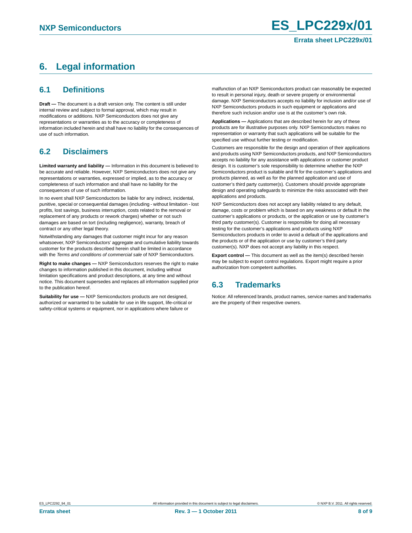# <span id="page-7-0"></span>**6. Legal information**

### <span id="page-7-1"></span>**6.1 Definitions**

**Draft —** The document is a draft version only. The content is still under internal review and subject to formal approval, which may result in modifications or additions. NXP Semiconductors does not give any representations or warranties as to the accuracy or completeness of information included herein and shall have no liability for the consequences of use of such information.

### <span id="page-7-2"></span>**6.2 Disclaimers**

**Limited warranty and liability —** Information in this document is believed to be accurate and reliable. However, NXP Semiconductors does not give any representations or warranties, expressed or implied, as to the accuracy or completeness of such information and shall have no liability for the consequences of use of such information.

In no event shall NXP Semiconductors be liable for any indirect, incidental, punitive, special or consequential damages (including - without limitation - lost profits, lost savings, business interruption, costs related to the removal or replacement of any products or rework charges) whether or not such damages are based on tort (including negligence), warranty, breach of contract or any other legal theory.

Notwithstanding any damages that customer might incur for any reason whatsoever, NXP Semiconductors' aggregate and cumulative liability towards customer for the products described herein shall be limited in accordance with the *Terms and conditions of commercial sale* of NXP Semiconductors.

**Right to make changes —** NXP Semiconductors reserves the right to make changes to information published in this document, including without limitation specifications and product descriptions, at any time and without notice. This document supersedes and replaces all information supplied prior to the publication hereof.

**Suitability for use —** NXP Semiconductors products are not designed, authorized or warranted to be suitable for use in life support, life-critical or safety-critical systems or equipment, nor in applications where failure or

malfunction of an NXP Semiconductors product can reasonably be expected to result in personal injury, death or severe property or environmental damage. NXP Semiconductors accepts no liability for inclusion and/or use of NXP Semiconductors products in such equipment or applications and therefore such inclusion and/or use is at the customer's own risk.

**Applications —** Applications that are described herein for any of these products are for illustrative purposes only. NXP Semiconductors makes no representation or warranty that such applications will be suitable for the specified use without further testing or modification.

Customers are responsible for the design and operation of their applications and products using NXP Semiconductors products, and NXP Semiconductors accepts no liability for any assistance with applications or customer product design. It is customer's sole responsibility to determine whether the NXP Semiconductors product is suitable and fit for the customer's applications and products planned, as well as for the planned application and use of customer's third party customer(s). Customers should provide appropriate design and operating safeguards to minimize the risks associated with their applications and products.

NXP Semiconductors does not accept any liability related to any default, damage, costs or problem which is based on any weakness or default in the customer's applications or products, or the application or use by customer's third party customer(s). Customer is responsible for doing all necessary testing for the customer's applications and products using NXP Semiconductors products in order to avoid a default of the applications and the products or of the application or use by customer's third party customer(s). NXP does not accept any liability in this respect.

**Export control —** This document as well as the item(s) described herein may be subject to export control regulations. Export might require a prior authorization from competent authorities.

### <span id="page-7-3"></span>**6.3 Trademarks**

Notice: All referenced brands, product names, service names and trademarks are the property of their respective owners.